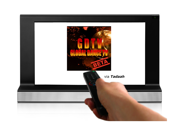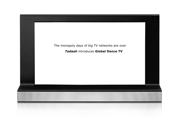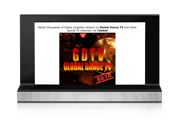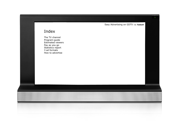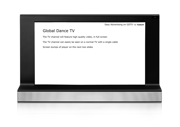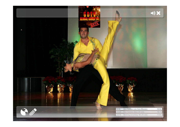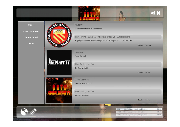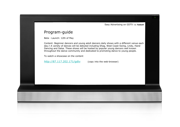#### Program-guide

Beta - Launch: 12th of May

Content: Beginner dancers and young adult dancers daily shows with a different venue each day.ハ A variety of dances will be debuted including Shag, West Coast Swing, Lindy, Hand Dancing and Salsa. These shows will be hosted by popular young dancers well known throughout the dance community and dedicated to promoting dance to young people.

To watch a showcase on the content

http://87.117.202.171/gdtv (copy into the web-browser)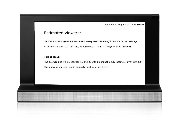#### Estimated viewers:

10,000 unique targeted dance viewers every week watching 2 hours a day on average. 6 ad slots an hour x 10.000 targeted viewers x 1 hour x 7 days =  $430.000$  views

#### **Target group:**

The average age will be between 18 and 35 with an annual family income of over \$50,000. This dance group segment is normally hard to target directly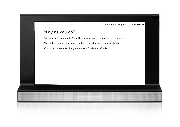### "Pay as you go"

You determine a budget. When this is spent your commercial stops airing. The budget can be determined on both a weekly and a monthly basis.

If your circumstances change non spent funds are refunded.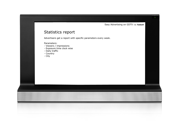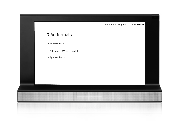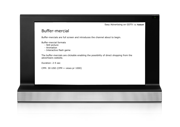

#### Buffer-mercial

Buffer-mercials are full screen and introduces the channel about to begin.

Buffer-mercial formats

- Still picture
- Animation
- Interactive flash game

The buffer-mercials are clickable enabling the possibility of direct shopping from the advertisers website.

Duration: 2-5 sec

CPM: 30 USD (CPM = views pr 1000)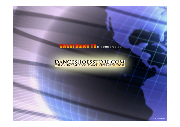## **Global Dance TV** is sponsored by

# **DANCESHOESSTORE.COM**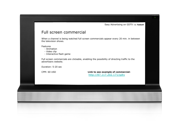#### Full screen commercial

When a channel is being watched full screen commercials appear every 20 min. in between the television shows.

Features

- Animation
- Video clip
- Interactive flash game

Full screen commercials are clickable, enabling the possibility of directing traffic to the advertisers website.

Duration: 5-20 sec

CPM: 60 USD **Link to see example of commercial:** http://87.117.202.171/gdtv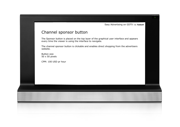#### Channel sponsor button

The Sponsor button is placed on the top layer of the graphical user interface and appears every time the viewer is using the interface to navigate.

The channel sponsor button is clickable and enables direct shopping from the advertisers website.

Button size 50 x 50 pixels

CPM: 100 USD pr hour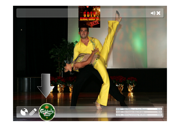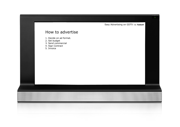